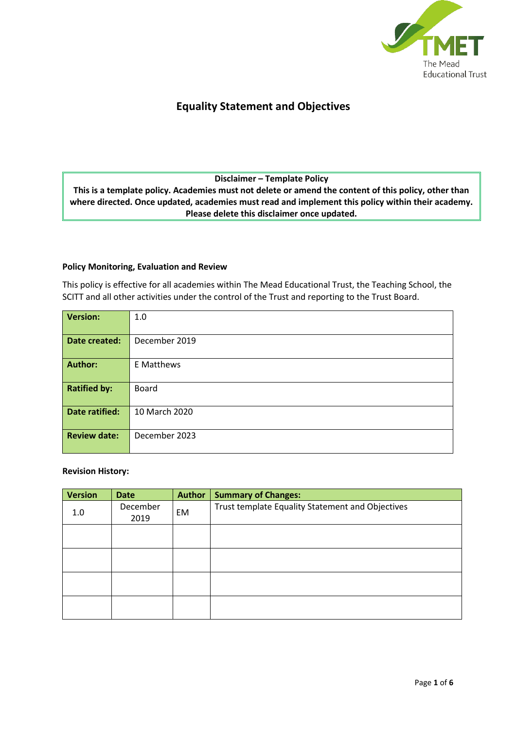

## **Equality Statement and Objectives**

## **Disclaimer – Template Policy**

**This is a template policy. Academies must not delete or amend the content of this policy, other than where directed. Once updated, academies must read and implement this policy within their academy. Please delete this disclaimer once updated.**

#### **Policy Monitoring, Evaluation and Review**

This policy is effective for all academies within The Mead Educational Trust, the Teaching School, the SCITT and all other activities under the control of the Trust and reporting to the Trust Board.

| <b>Version:</b>     | 1.0           |
|---------------------|---------------|
|                     |               |
| Date created:       | December 2019 |
|                     |               |
| <b>Author:</b>      | E Matthews    |
|                     |               |
| <b>Ratified by:</b> | Board         |
|                     |               |
| Date ratified:      | 10 March 2020 |
|                     |               |
| <b>Review date:</b> | December 2023 |
|                     |               |
|                     |               |

#### **Revision History:**

| <b>Version</b> | <b>Date</b>      | Author | <b>Summary of Changes:</b>                       |
|----------------|------------------|--------|--------------------------------------------------|
| 1.0            | December<br>2019 | EM     | Trust template Equality Statement and Objectives |
|                |                  |        |                                                  |
|                |                  |        |                                                  |
|                |                  |        |                                                  |
|                |                  |        |                                                  |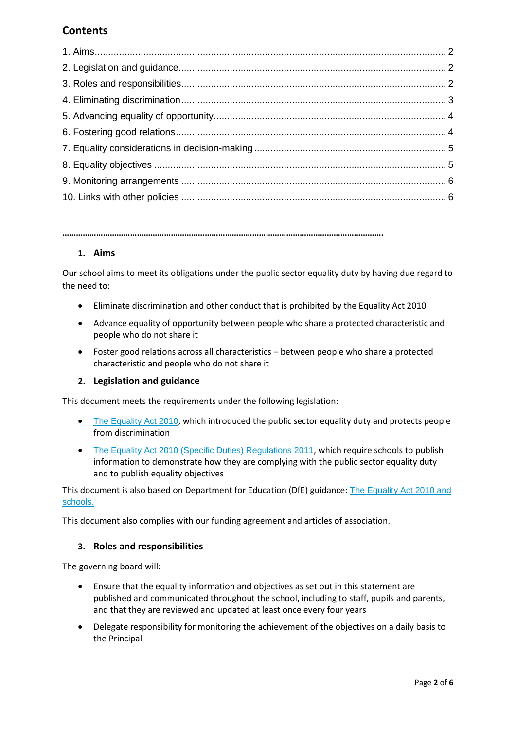# **Contents**

**…………………………………………………………………………………………………………………………….**

#### **1. Aims**

Our school aims to meet its obligations under the public sector equality duty by having due regard to the need to:

- Eliminate discrimination and other conduct that is prohibited by the Equality Act 2010
- Advance equality of opportunity between people who share a protected characteristic and people who do not share it
- Foster good relations across all characteristics between people who share a protected characteristic and people who do not share it

#### **2. Legislation and guidance**

This document meets the requirements under the following legislation:

- [The Equality Act 2010](http://www.legislation.gov.uk/ukpga/2010/15/contents), which introduced the public sector equality duty and protects people from discrimination
- [The Equality Act 2010 \(Specific Duties\) Regulations 2011](http://www.legislation.gov.uk/uksi/2011/2260/contents/made), which require schools to publish information to demonstrate how they are complying with the public sector equality duty and to publish equality objectives

This document is also based on Department for Education (DfE) guidance: [The Equality Act 2010 and](https://www.gov.uk/government/uploads/system/uploads/attachment_data/file/315587/Equality_Act_Advice_Final.pdf)  [schools.](https://www.gov.uk/government/uploads/system/uploads/attachment_data/file/315587/Equality_Act_Advice_Final.pdf) 

This document also complies with our funding agreement and articles of association.

#### **3. Roles and responsibilities**

The governing board will:

- Ensure that the equality information and objectives as set out in this statement are published and communicated throughout the school, including to staff, pupils and parents, and that they are reviewed and updated at least once every four years
- Delegate responsibility for monitoring the achievement of the objectives on a daily basis to the Principal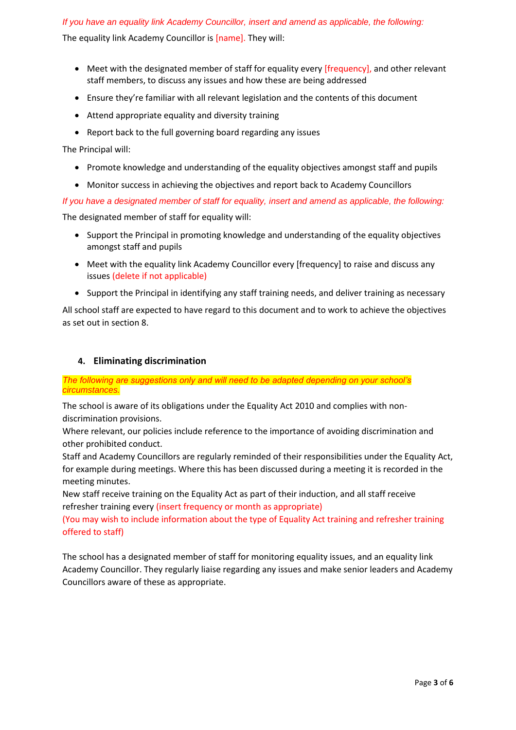#### *If you have an equality link Academy Councillor, insert and amend as applicable, the following:*

The equality link Academy Councillor is [name]. They will:

- Meet with the designated member of staff for equality every [frequency], and other relevant staff members, to discuss any issues and how these are being addressed
- Ensure they're familiar with all relevant legislation and the contents of this document
- Attend appropriate equality and diversity training
- Report back to the full governing board regarding any issues

The Principal will:

- Promote knowledge and understanding of the equality objectives amongst staff and pupils
- Monitor success in achieving the objectives and report back to Academy Councillors

*If you have a designated member of staff for equality, insert and amend as applicable, the following:*

The designated member of staff for equality will:

- Support the Principal in promoting knowledge and understanding of the equality objectives amongst staff and pupils
- Meet with the equality link Academy Councillor every [frequency] to raise and discuss any issues (delete if not applicable)
- Support the Principal in identifying any staff training needs, and deliver training as necessary

All school staff are expected to have regard to this document and to work to achieve the objectives as set out in section 8.

#### **4. Eliminating discrimination**

#### *The following are suggestions only and will need to be adapted depending on your school's circumstances.*

The school is aware of its obligations under the Equality Act 2010 and complies with nondiscrimination provisions.

Where relevant, our policies include reference to the importance of avoiding discrimination and other prohibited conduct.

Staff and Academy Councillors are regularly reminded of their responsibilities under the Equality Act, for example during meetings. Where this has been discussed during a meeting it is recorded in the meeting minutes.

New staff receive training on the Equality Act as part of their induction, and all staff receive refresher training every (insert frequency or month as appropriate)

(You may wish to include information about the type of Equality Act training and refresher training offered to staff)

The school has a designated member of staff for monitoring equality issues, and an equality link Academy Councillor. They regularly liaise regarding any issues and make senior leaders and Academy Councillors aware of these as appropriate.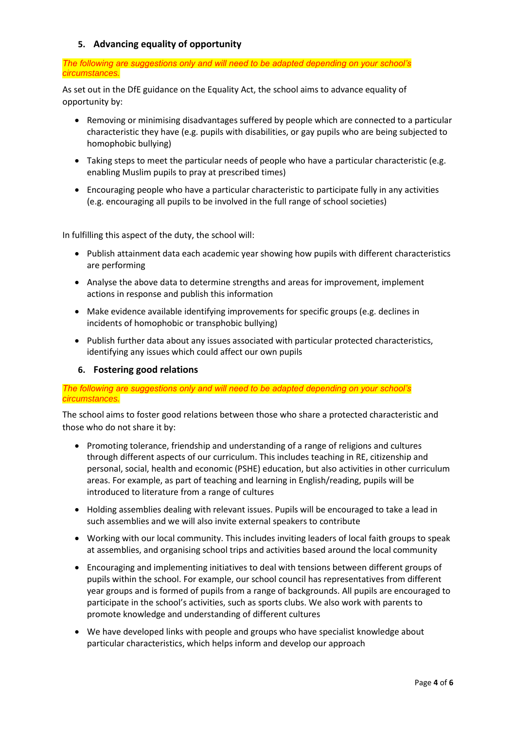## **5. Advancing equality of opportunity**

#### *The following are suggestions only and will need to be adapted depending on your school's circumstances.*

As set out in the DfE guidance on the Equality Act, the school aims to advance equality of opportunity by:

- Removing or minimising disadvantages suffered by people which are connected to a particular characteristic they have (e.g. pupils with disabilities, or gay pupils who are being subjected to homophobic bullying)
- Taking steps to meet the particular needs of people who have a particular characteristic (e.g. enabling Muslim pupils to pray at prescribed times)
- Encouraging people who have a particular characteristic to participate fully in any activities (e.g. encouraging all pupils to be involved in the full range of school societies)

In fulfilling this aspect of the duty, the school will:

- Publish attainment data each academic year showing how pupils with different characteristics are performing
- Analyse the above data to determine strengths and areas for improvement, implement actions in response and publish this information
- Make evidence available identifying improvements for specific groups (e.g. declines in incidents of homophobic or transphobic bullying)
- Publish further data about any issues associated with particular protected characteristics, identifying any issues which could affect our own pupils

## **6. Fostering good relations**

#### *The following are suggestions only and will need to be adapted depending on your school's circumstances.*

The school aims to foster good relations between those who share a protected characteristic and those who do not share it by:

- Promoting tolerance, friendship and understanding of a range of religions and cultures through different aspects of our curriculum. This includes teaching in RE, citizenship and personal, social, health and economic (PSHE) education, but also activities in other curriculum areas. For example, as part of teaching and learning in English/reading, pupils will be introduced to literature from a range of cultures
- Holding assemblies dealing with relevant issues. Pupils will be encouraged to take a lead in such assemblies and we will also invite external speakers to contribute
- Working with our local community. This includes inviting leaders of local faith groups to speak at assemblies, and organising school trips and activities based around the local community
- Encouraging and implementing initiatives to deal with tensions between different groups of pupils within the school. For example, our school council has representatives from different year groups and is formed of pupils from a range of backgrounds. All pupils are encouraged to participate in the school's activities, such as sports clubs. We also work with parents to promote knowledge and understanding of different cultures
- We have developed links with people and groups who have specialist knowledge about particular characteristics, which helps inform and develop our approach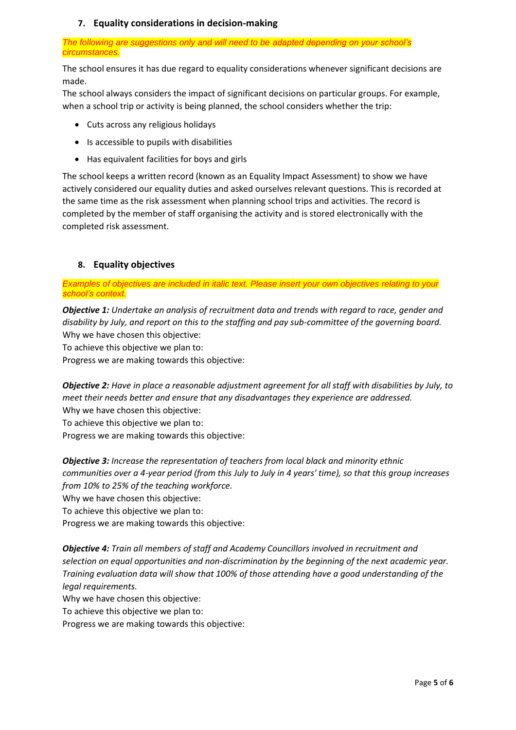## **7. Equality considerations in decision-making**

*The following are suggestions only and will need to be adapted depending on your school's circumstances.*

The school ensures it has due regard to equality considerations whenever significant decisions are made.

The school always considers the impact of significant decisions on particular groups. For example, when a school trip or activity is being planned, the school considers whether the trip:

- Cuts across any religious holidays
- Is accessible to pupils with disabilities
- Has equivalent facilities for boys and girls

The school keeps a written record (known as an Equality Impact Assessment) to show we have actively considered our equality duties and asked ourselves relevant questions. This is recorded at the same time as the risk assessment when planning school trips and activities. The record is completed by the member of staff organising the activity and is stored electronically with the completed risk assessment.

#### **8. Equality objectives**

*Examples of objectives are included in italic text. Please insert your own objectives relating to your school's context.*

*Objective 1: Undertake an analysis of recruitment data and trends with regard to race, gender and disability by July, and report on this to the staffing and pay sub-committee of the governing board.* Why we have chosen this objective:

To achieve this objective we plan to:

Progress we are making towards this objective:

*Objective 2: Have in place a reasonable adjustment agreement for all staff with disabilities by July, to meet their needs better and ensure that any disadvantages they experience are addressed.* Why we have chosen this objective:

To achieve this objective we plan to:

Progress we are making towards this objective:

*Objective 3: Increase the representation of teachers from local black and minority ethnic communities over a 4-year period (from this July to July in 4 years' time), so that this group increases from 10% to 25% of the teaching workforce.*

Why we have chosen this objective:

To achieve this objective we plan to:

Progress we are making towards this objective:

*Objective 4: Train all members of staff and Academy Councillors involved in recruitment and selection on equal opportunities and non-discrimination by the beginning of the next academic year. Training evaluation data will show that 100% of those attending have a good understanding of the legal requirements.*

Why we have chosen this objective:

To achieve this objective we plan to:

Progress we are making towards this objective: